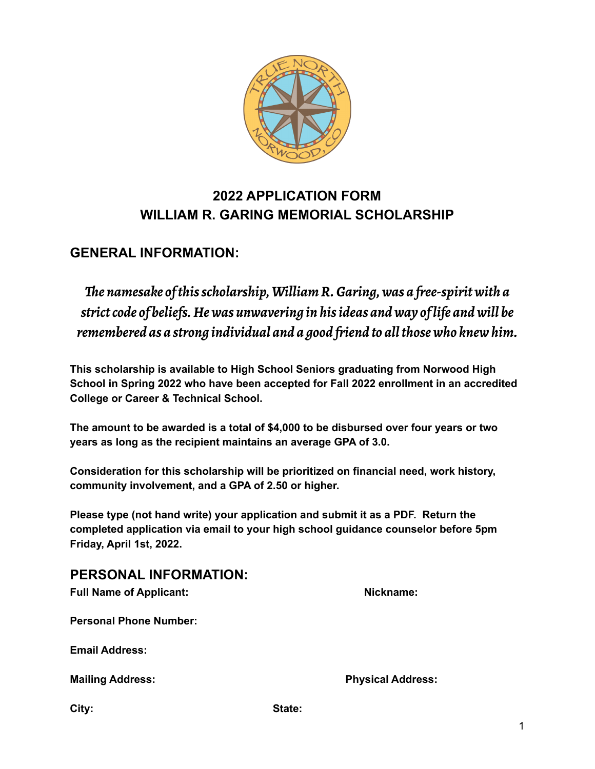

# **2022 APPLICATION FORM WILLIAM R. GARING MEMORIAL SCHOLARSHIP**

# **GENERAL INFORMATION:**

*The namesake of this scholarship, William R. Garing, was a free-spirit with a strict code of beliefs. He was unwavering in his ideas and way of life and will be remembered as a strong individual and a good friend to all those who knew him.*

**This scholarship is available to High School Seniors graduating from Norwood High School in Spring 2022 who have been accepted for Fall 2022 enrollment in an accredited College or Career & Technical School.**

**The amount to be awarded is a total of \$4,000 to be disbursed over four years or two years as long as the recipient maintains an average GPA of 3.0.**

**Consideration for this scholarship will be prioritized on financial need, work history, community involvement, and a GPA of 2.50 or higher.**

**Please type (not hand write) your application and submit it as a PDF. Return the completed application via email to your high school guidance counselor before 5pm Friday, April 1st, 2022.**

### **PERSONAL INFORMATION:**

| <b>Full Name of Applicant:</b> | Nickname:                |
|--------------------------------|--------------------------|
| <b>Personal Phone Number:</b>  |                          |
| <b>Email Address:</b>          |                          |
| <b>Mailing Address:</b>        | <b>Physical Address:</b> |
|                                |                          |

**City: State:**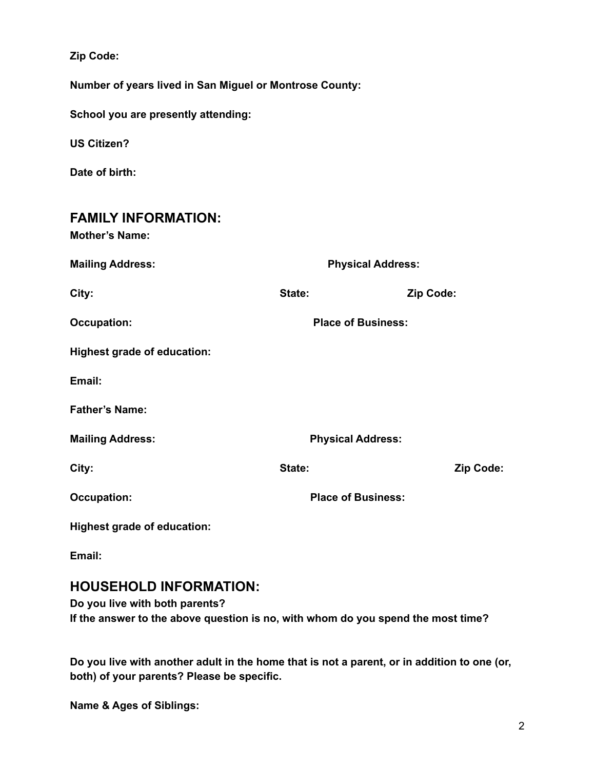**Zip Code:**

**Number of years lived in San Miguel or Montrose County:**

**School you are presently attending:**

**US Citizen?**

**Date of birth:**

| <b>FAMILY INFORMATION:</b><br><b>Mother's Name:</b> |                           |           |
|-----------------------------------------------------|---------------------------|-----------|
| <b>Mailing Address:</b>                             | <b>Physical Address:</b>  |           |
| City:                                               | State:                    | Zip Code: |
| <b>Occupation:</b>                                  | <b>Place of Business:</b> |           |
| <b>Highest grade of education:</b>                  |                           |           |
| Email:                                              |                           |           |
| <b>Father's Name:</b>                               |                           |           |
| <b>Mailing Address:</b>                             | <b>Physical Address:</b>  |           |
| City:                                               | State:                    | Zip Code: |
| <b>Occupation:</b>                                  | <b>Place of Business:</b> |           |
| <b>Highest grade of education:</b>                  |                           |           |

**Email:**

### **HOUSEHOLD INFORMATION:**

**Do you live with both parents? If the answer to the above question is no, with whom do you spend the most time?**

Do you live with another adult in the home that is not a parent, or in addition to one (or, **both) of your parents? Please be specific.**

**Name & Ages of Siblings:**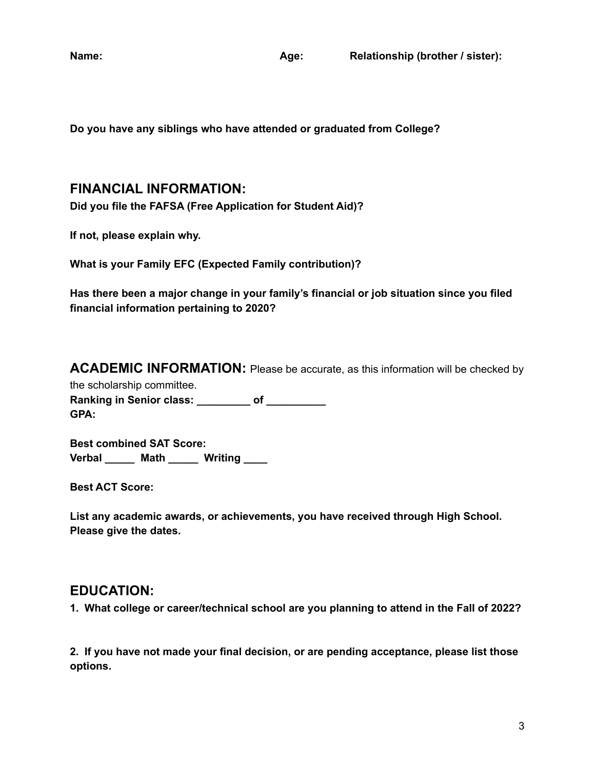**Name: Age: Relationship (brother / sister):**

**Do you have any siblings who have attended or graduated from College?**

#### **FINANCIAL INFORMATION:**

**Did you file the FAFSA (Free Application for Student Aid)?**

**If not, please explain why.**

**What is your Family EFC (Expected Family contribution)?**

**Has there been a major change in your family's financial or job situation since you filed financial information pertaining to 2020?**

**ACADEMIC INFORMATION:** Please be accurate, as this information will be checked by

the scholarship committee. **Ranking in Senior class: \_\_\_\_\_\_\_\_\_ of \_\_\_\_\_\_\_\_\_\_ GPA:**

**Best combined SAT Score: Verbal \_\_\_\_\_ Math \_\_\_\_\_ Writing \_\_\_\_**

**Best ACT Score:**

**List any academic awards, or achievements, you have received through High School. Please give the dates.**

#### **EDUCATION:**

**1. What college or career/technical school are you planning to attend in the Fall of 2022?**

**2. If you have not made your final decision, or are pending acceptance, please list those options.**